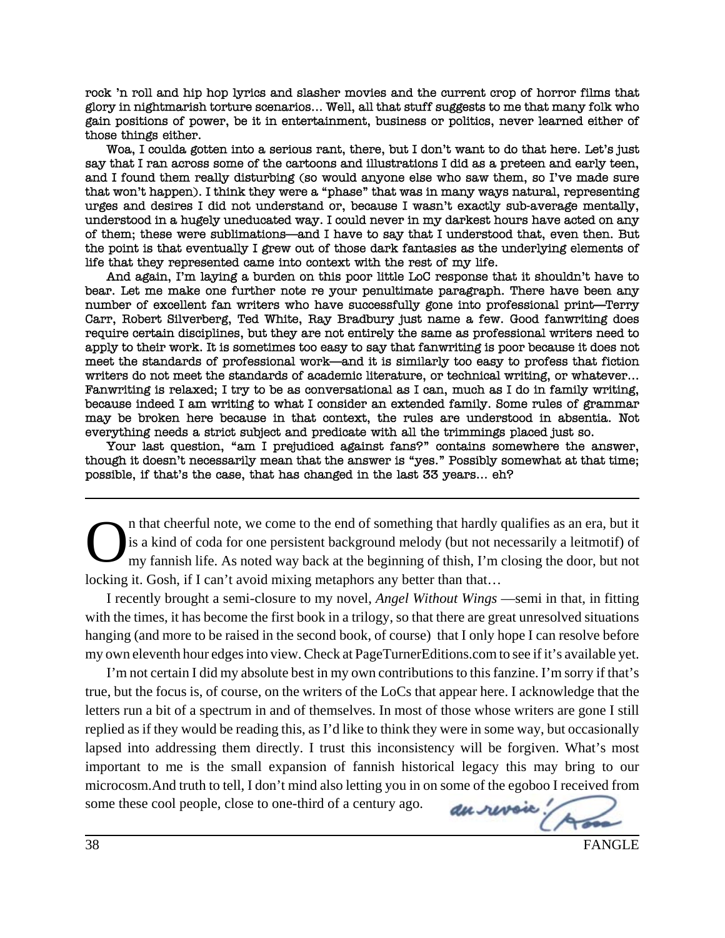rock 'n roll and hip hop lyrics and slasher movies and the current crop of horror films that glory in nightmarish torture scenarios... Well, all that stuff suggests to me that many folk who gain positions of power, be it in entertainment, business or politics, never learned either of those things either.

Woa, I coulda gotten into a serious rant, there, but I don't want to do that here. Let's just say that I ran across some of the cartoons and illustrations I did as a preteen and early teen, and I found them really disturbing (so would anyone else who saw them, so I've made sure that won't happen). I think they were a "phase" that was in many ways natural, representing urges and desires I did not understand or, because I wasn't exactly sub-average mentally, understood in a hugely uneducated way. I could never in my darkest hours have acted on any of them; these were sublimations—and I have to say that I understood that, even then. But the point is that eventually I grew out of those dark fantasies as the underlying elements of life that they represented came into context with the rest of my life.

And again, I'm laying a burden on this poor little LoC response that it shouldn't have to bear. Let me make one further note re your penultimate paragraph. There have been any number of excellent fan writers who have successfully gone into professional print—Terry Carr, Robert Silverberg, Ted White, Ray Bradbury just name a few. Good fanwriting does require certain disciplines, but they are not entirely the same as professional writers need to apply to their work. It is sometimes too easy to say that fanwriting is poor because it does not meet the standards of professional work—and it is similarly too easy to profess that fiction writers do not meet the standards of academic literature, or technical writing, or whatever... Fanwriting is relaxed; I try to be as conversational as I can, much as I do in family writing, because indeed I am writing to what I consider an extended family. Some rules of grammar may be broken here because in that context, the rules are understood in absentia. Not everything needs a strict subject and predicate with all the trimmings placed just so.

Your last question, "am I prejudiced against fans?" contains somewhere the answer, though it doesn't necessarily mean that the answer is "yes." Possibly somewhat at that time; possible, if that's the case, that has changed in the last 33 years... eh?

In that cheerful note, we come to the end of something that hardly qualifies as an era, but it is a kind of coda for one persistent background melody (but not necessarily a leitmotif) of my fannish life. As noted way back is a kind of coda for one persistent background melody (but not necessarily a leitmotif) of my fannish life. As noted way back at the beginning of thish, I'm closing the door, but not locking it. Gosh, if I can't avoid mixing metaphors any better than that…

I recently brought a semi-closure to my novel, *Angel Without Wings* —semi in that, in fitting with the times, it has become the first book in a trilogy, so that there are great unresolved situations hanging (and more to be raised in the second book, of course) that I only hope I can resolve before my own eleventh hour edges into view. Check at PageTurnerEditions.com to see if it's available yet.

I'm not certain I did my absolute best in my own contributions to this fanzine. I'm sorry if that's true, but the focus is, of course, on the writers of the LoCs that appear here. I acknowledge that the letters run a bit of a spectrum in and of themselves. In most of those whose writers are gone I still replied as if they would be reading this, as I'd like to think they were in some way, but occasionally lapsed into addressing them directly. I trust this inconsistency will be forgiven. What's most important to me is the small expansion of fannish historical legacy this may bring to our microcosm.And truth to tell, I don't mind also letting you in on some of the egoboo I received from<br>some these cool people, close to one-third of a century ago. some these cool people, close to one-third of a century ago.